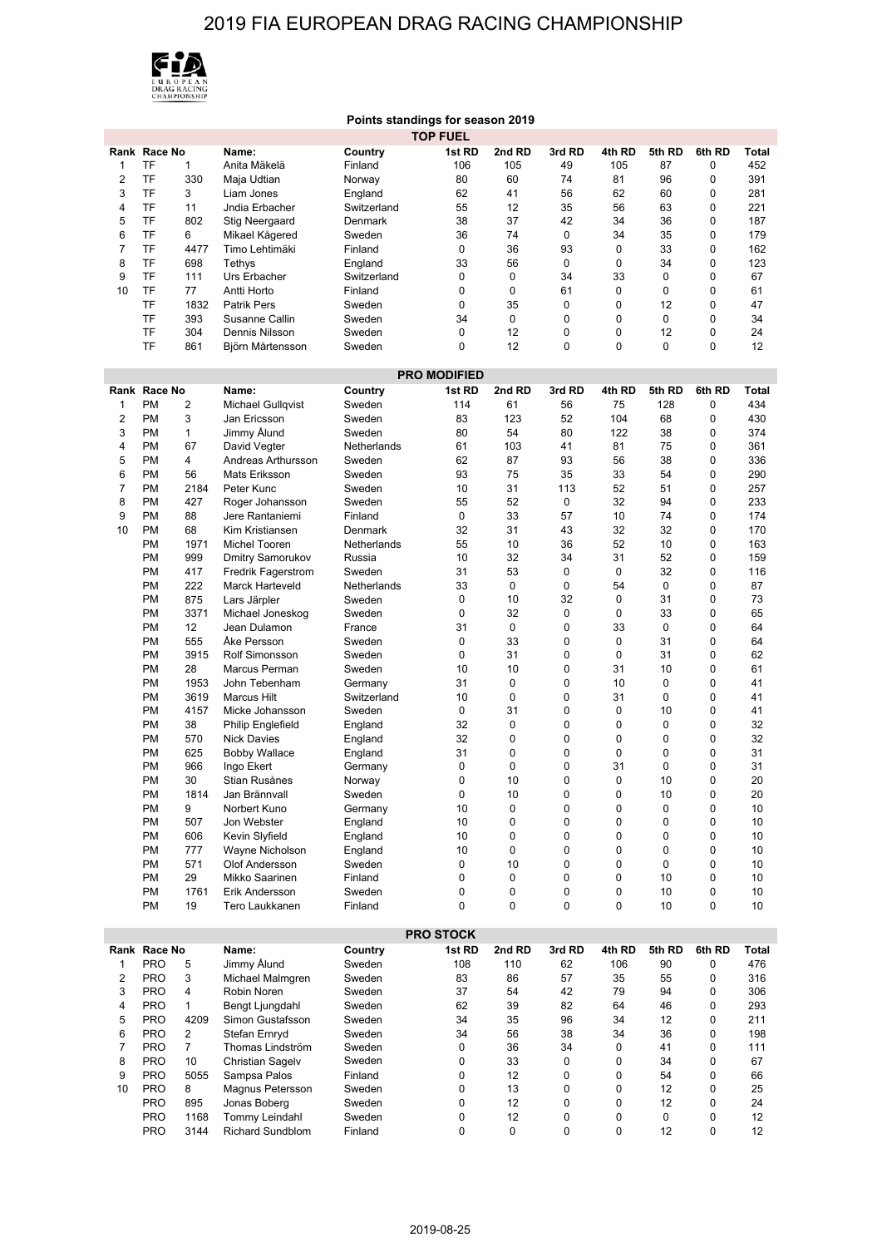## 2019 FIA EUROPEAN DRAG RACING CHAMPIONSHIP



|                     |              |              |                           |             | Points standings for season 2019 |          |             |             |        |        |                 |
|---------------------|--------------|--------------|---------------------------|-------------|----------------------------------|----------|-------------|-------------|--------|--------|-----------------|
|                     |              |              |                           |             | <b>TOP FUEL</b>                  |          |             |             |        |        |                 |
|                     | Rank Race No |              | Name:                     | Country     | 1st RD                           | 2nd RD   | 3rd RD      | 4th RD      | 5th RD | 6th RD | <b>Total</b>    |
| 1                   | TF           | $\mathbf{1}$ | Anita Mäkelä              | Finland     | 106                              | 105      | 49          | 105         | 87     | 0      | 452             |
| 2                   | TF           | 330          |                           |             | 80                               | 60       | 74          | 81          | 96     | 0      | 391             |
|                     |              |              | Maja Udtian               | Norway      |                                  |          |             |             |        |        |                 |
| 3                   | TF           | 3            | Liam Jones                | England     | 62                               | 41       | 56          | 62          | 60     | 0      | 281             |
| 4                   | TF           | 11           | Jndia Erbacher            | Switzerland | 55                               | 12       | 35          | 56          | 63     | 0      | 221             |
| 5                   | TF           | 802          | <b>Stig Neergaard</b>     | Denmark     | 38                               | 37       | 42          | 34          | 36     | 0      | 187             |
| 6                   | TF           | 6            | Mikael Kågered            | Sweden      | 36                               | 74       | 0           | 34          | 35     | 0      | 179             |
| 7                   | TF           | 4477         | Timo Lehtimäki            | Finland     | 0                                | 36       | 93          | 0           | 33     | 0      | 162             |
| 8                   | TF           | 698          | Tethys                    | England     | 33                               | 56       | 0           | $\mathbf 0$ | 34     | 0      | 123             |
| 9                   | TF           | 111          | Urs Erbacher              | Switzerland | 0                                | 0        | 34          | 33          | 0      | 0      | 67              |
| 10                  | TF           | 77           | Antti Horto               | Finland     | 0                                | 0        | 61          | 0           | 0      | 0      | 61              |
|                     | TF           | 1832         | <b>Patrik Pers</b>        | Sweden      | 0                                | 35       | $\mathbf 0$ | 0           | 12     | 0      | 47              |
|                     | TF           | 393          | Susanne Callin            | Sweden      | 34                               | 0        | $\mathbf 0$ | $\mathbf 0$ | 0      | 0      | 34              |
|                     | TF           | 304          | Dennis Nilsson            | Sweden      | 0                                | 12       | 0           | 0           | 12     | 0      | 24              |
|                     | TF           | 861          |                           | Sweden      | 0                                | 12       | $\mathbf 0$ | 0           | 0      | 0      | 12              |
|                     |              |              | Björn Mårtensson          |             |                                  |          |             |             |        |        |                 |
|                     |              |              |                           |             |                                  |          |             |             |        |        |                 |
| <b>PRO MODIFIED</b> |              |              |                           |             |                                  |          |             |             |        |        |                 |
|                     | Rank Race No |              | Name:                     | Country     | 1st RD                           | 2nd RD   | 3rd RD      | 4th RD      | 5th RD | 6th RD | Total           |
| 1                   | <b>PM</b>    | 2            | Michael Gullqvist         | Sweden      | 114                              | 61       | 56          | 75          | 128    | 0      | 434             |
| 2                   | <b>PM</b>    | 3            | Jan Ericsson              | Sweden      | 83                               | 123      | 52          | 104         | 68     | 0      | 430             |
| 3                   | <b>PM</b>    | 1            | Jimmy Ålund               | Sweden      | 80                               | 54       | 80          | 122         | 38     | 0      | 374             |
| 4                   | <b>PM</b>    | 67           | David Vegter              | Netherlands | 61                               | 103      | 41          | 81          | 75     | 0      | 361             |
| 5                   | <b>PM</b>    | 4            | Andreas Arthursson        | Sweden      | 62                               | 87       | 93          | 56          | 38     | 0      | 336             |
| 6                   | <b>PM</b>    |              |                           |             | 93                               | 75       | 35          | 33          | 54     | 0      | 290             |
|                     |              | 56           | Mats Eriksson             | Sweden      |                                  |          |             |             |        |        |                 |
| 7                   | <b>PM</b>    | 2184         | Peter Kunc                | Sweden      | 10                               | 31       | 113         | 52          | 51     | 0      | 257             |
| 8                   | <b>PM</b>    | 427          | Roger Johansson           | Sweden      | 55                               | 52       | 0           | 32          | 94     | 0      | 233             |
| 9                   | <b>PM</b>    | 88           | Jere Rantaniemi           | Finland     | 0                                | 33       | 57          | 10          | 74     | 0      | 174             |
| 10                  | <b>PM</b>    | 68           | Kim Kristiansen           | Denmark     | 32                               | 31       | 43          | 32          | 32     | 0      | 170             |
|                     | <b>PM</b>    | 1971         | Michel Tooren             | Netherlands | 55                               | 10       | 36          | 52          | 10     | 0      | 163             |
|                     | <b>PM</b>    | 999          | Dmitry Samorukov          | Russia      | 10                               | 32       | 34          | 31          | 52     | 0      | 159             |
|                     | <b>PM</b>    | 417          | <b>Fredrik Fagerstrom</b> | Sweden      | 31                               | 53       | $\mathbf 0$ | $\mathbf 0$ | 32     | 0      | 116             |
|                     | <b>PM</b>    | 222          | <b>Marck Harteveld</b>    | Netherlands | 33                               | 0        | 0           | 54          | 0      | 0      | 87              |
|                     | <b>PM</b>    | 875          | Lars Järpler              | Sweden      | 0                                | 10       | 32          | 0           | 31     | 0      | 73              |
|                     |              |              |                           |             |                                  |          |             |             |        |        |                 |
|                     | <b>PM</b>    | 3371         | Michael Joneskog          | Sweden      | 0                                | 32       | 0           | 0           | 33     | 0      | 65              |
|                     | <b>PM</b>    | 12           | Jean Dulamon              | France      | 31                               | 0        | $\mathbf 0$ | 33          | 0      | 0      | 64              |
|                     | <b>PM</b>    | 555          | Åke Persson               | Sweden      | 0                                | 33       | 0           | 0           | 31     | 0      | 64              |
|                     | <b>PM</b>    | 3915         | Rolf Simonsson            | Sweden      | 0                                | 31       | 0           | 0           | 31     | 0      | 62              |
|                     | <b>PM</b>    | 28           | Marcus Perman             | Sweden      | 10                               | 10       | $\mathbf 0$ | 31          | 10     | 0      | 61              |
|                     | <b>PM</b>    | 1953         | John Tebenham             | Germany     | 31                               | 0        | $\mathbf 0$ | 10          | 0      | 0      | 41              |
|                     | <b>PM</b>    | 3619         | <b>Marcus Hilt</b>        | Switzerland | 10                               | 0        | 0           | 31          | 0      | 0      | 41              |
|                     | <b>PM</b>    | 4157         | Micke Johansson           | Sweden      | 0                                | 31       | $\mathbf 0$ | 0           | 10     | 0      | 41              |
|                     | <b>PM</b>    | 38           | <b>Philip Englefield</b>  | England     | 32                               | 0        | $\mathbf 0$ | 0           | 0      | 0      | 32              |
|                     | <b>PM</b>    | 570          | <b>Nick Davies</b>        |             | 32                               | 0        | 0           | 0           | 0      | 0      | 32              |
|                     |              |              |                           | England     |                                  | 0        | 0           |             |        |        |                 |
|                     | <b>PM</b>    | 625          | <b>Bobby Wallace</b>      | England     | 31                               |          |             | 0           | 0      | 0      | 31              |
|                     | <b>PM</b>    | 966          | Ingo Ekert                | Germany     | $\mathbf 0$                      | 0        | $\mathbf 0$ | 31          | 0      | 0      | 31              |
|                     | <b>PM</b>    | 30           | Stian Rusånes             | Norway      | 0                                | 10       | 0           | 0           | 10     | 0      | 20              |
|                     | PM           | 1814         | Jan Brännvall             | Sweden      | 0                                | 10       | 0           | 0           | 10     | 0      | 20              |
|                     | PM           | 9            | Norbert Kuno              | Germany     | 10                               | 0        | 0           | 0           | 0      | 0      | 10              |
|                     | PM           | 507          | Jon Webster               | England     | 10                               | 0        | $\mathbf 0$ | 0           | 0      | 0      | 10              |
|                     | PM           | 606          | Kevin Slyfield            | England     | 10                               | 0        | 0           | 0           | 0      | 0      | 10              |
|                     | PM           | 777          | Wayne Nicholson           | England     | 10                               | 0        | 0           | 0           | 0      | 0      | 10              |
|                     | <b>PM</b>    | 571          | Olof Andersson            | Sweden      | 0                                | 10       | 0           | 0           | 0      | 0      | 10              |
|                     | PM           | 29           | Mikko Saarinen            | Finland     | 0                                | 0        | 0           | 0           | 10     | 0      | 10              |
|                     | PM           | 1761         | Erik Andersson            | Sweden      | 0                                | 0        | 0           | 0           | 10     | 0      | 10              |
|                     | PM           | 19           | Tero Laukkanen            | Finland     | 0                                | 0        | 0           | 0           | 10     | 0      | 10              |
|                     |              |              |                           |             |                                  |          |             |             |        |        |                 |
|                     |              |              |                           |             |                                  |          |             |             |        |        |                 |
|                     |              |              |                           |             | <b>PRO STOCK</b>                 |          |             |             |        |        |                 |
|                     | Rank Race No |              | Name:                     | Country     | 1st RD                           | 2nd RD   | 3rd RD      | 4th RD      | 5th RD | 6th RD | Total           |
| 1                   | <b>PRO</b>   | 5            | Jimmy Ålund               | Sweden      | 108                              | 110      | 62          | 106         | 90     | 0      | 476             |
| 2                   | <b>PRO</b>   | 3            | Michael Malmgren          | Sweden      | 83                               | 86       | 57          | 35          | 55     | 0      | 316             |
| 3                   | <b>PRO</b>   | 4            | Robin Noren               | Sweden      | 37                               | 54       | 42          | 79          | 94     | 0      | 306             |
| 4                   | <b>PRO</b>   | 1            | Bengt Ljungdahl           | Sweden      | 62                               | 39       | 82          | 64          | 46     | 0      | 293             |
| 5                   | <b>PRO</b>   | 4209         | Simon Gustafsson          | Sweden      | 34                               | 35       | 96          | 34          | 12     | 0      | 211             |
| 6                   | <b>PRO</b>   | 2            | Stefan Ernryd             | Sweden      | 34                               | 56       | 38          | 34          | 36     | 0      | 198             |
| 7                   |              |              | Thomas Lindström          | Sweden      | 0                                |          | 34          |             | 41     | 0      |                 |
|                     | <b>PRO</b>   | 7            |                           |             |                                  | 36       |             | 0           |        |        | 111             |
| 8                   | <b>PRO</b>   | 10           | <b>Christian Sagelv</b>   | Sweden      | 0                                | 33       | 0           | 0           | 34     | 0      | 67              |
| 9                   | <b>PRO</b>   | 5055         | Sampsa Palos              | Finland     | 0                                | 12       | 0           | 0           | 54     | 0      | 66              |
| 10                  | <b>PRO</b>   | 8            | Magnus Petersson          | Sweden      | 0                                | 13       | 0           | 0           | 12     | 0      | 25              |
|                     | <b>PRO</b>   | 895          | Jonas Boberg              | Sweden      | 0                                | 12       | 0           | 0           | 12     | 0      | 24              |
|                     | <b>PRO</b>   | 1168         | Tommy Leindahl            | Sweden      | 0                                | 12       | 0           | 0           | 0      | 0      | 12              |
|                     | <b>PRO</b>   | 3144         | Richard Sundblom          | Finland     | 0                                | $\Omega$ | $\Omega$    | $\Omega$    | 12     | 0      | 12 <sup>2</sup> |